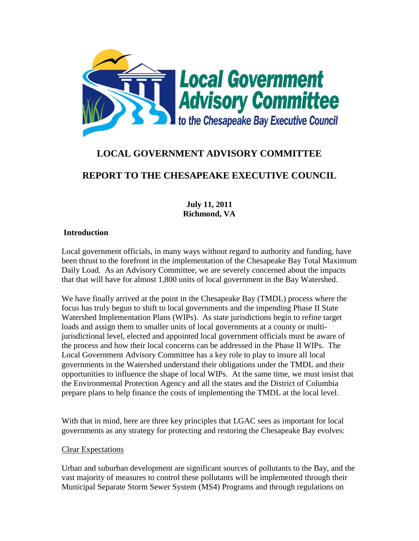

# **LOCAL GOVERNMENT ADVISORY COMMITTEE**

# **REPORT TO THE CHESAPEAKE EXECUTIVE COUNCIL**

# **July 11, 2011 Richmond, VA**

# **Introduction**

Local government officials, in many ways without regard to authority and funding, have been thrust to the forefront in the implementation of the Chesapeake Bay Total Maximum Daily Load. As an Advisory Committee, we are severely concerned about the impacts that that will have for almost 1,800 units of local government in the Bay Watershed.

We have finally arrived at the point in the Chesapeake Bay (TMDL) process where the focus has truly begun to shift to local governments and the impending Phase II State Watershed Implementation Plans (WIPs). As state jurisdictions begin to refine target loads and assign them to smaller units of local governments at a county or multijurisdictional level, elected and appointed local government officials must be aware of the process and how their local concerns can be addressed in the Phase II WIPs. The Local Government Advisory Committee has a key role to play to insure all local governments in the Watershed understand their obligations under the TMDL and their opportunities to influence the shape of local WIPs. At the same time, we must insist that the Environmental Protection Agency and all the states and the District of Columbia prepare plans to help finance the costs of implementing the TMDL at the local level.

With that in mind, here are three key principles that LGAC sees as important for local governments as any strategy for protecting and restoring the Chesapeake Bay evolves:

# Clear Expectations

Urban and suburban development are significant sources of pollutants to the Bay, and the vast majority of measures to control these pollutants will be implemented through their Municipal Separate Storm Sewer System (MS4) Programs and through regulations on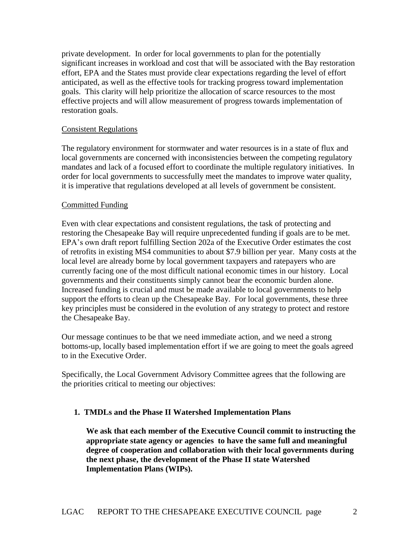private development. In order for local governments to plan for the potentially significant increases in workload and cost that will be associated with the Bay restoration effort, EPA and the States must provide clear expectations regarding the level of effort anticipated, as well as the effective tools for tracking progress toward implementation goals. This clarity will help prioritize the allocation of scarce resources to the most effective projects and will allow measurement of progress towards implementation of restoration goals.

#### Consistent Regulations

The regulatory environment for stormwater and water resources is in a state of flux and local governments are concerned with inconsistencies between the competing regulatory mandates and lack of a focused effort to coordinate the multiple regulatory initiatives. In order for local governments to successfully meet the mandates to improve water quality, it is imperative that regulations developed at all levels of government be consistent.

#### Committed Funding

Even with clear expectations and consistent regulations, the task of protecting and restoring the Chesapeake Bay will require unprecedented funding if goals are to be met. EPA's own draft report fulfilling Section 202a of the Executive Order estimates the cost of retrofits in existing MS4 communities to about \$7.9 billion per year. Many costs at the local level are already borne by local government taxpayers and ratepayers who are currently facing one of the most difficult national economic times in our history. Local governments and their constituents simply cannot bear the economic burden alone. Increased funding is crucial and must be made available to local governments to help support the efforts to clean up the Chesapeake Bay. For local governments, these three key principles must be considered in the evolution of any strategy to protect and restore the Chesapeake Bay.

Our message continues to be that we need immediate action, and we need a strong bottoms-up, locally based implementation effort if we are going to meet the goals agreed to in the Executive Order.

Specifically, the Local Government Advisory Committee agrees that the following are the priorities critical to meeting our objectives:

## **1. TMDLs and the Phase II Watershed Implementation Plans**

**We ask that each member of the Executive Council commit to instructing the appropriate state agency or agencies to have the same full and meaningful degree of cooperation and collaboration with their local governments during the next phase, the development of the Phase II state Watershed Implementation Plans (WIPs).**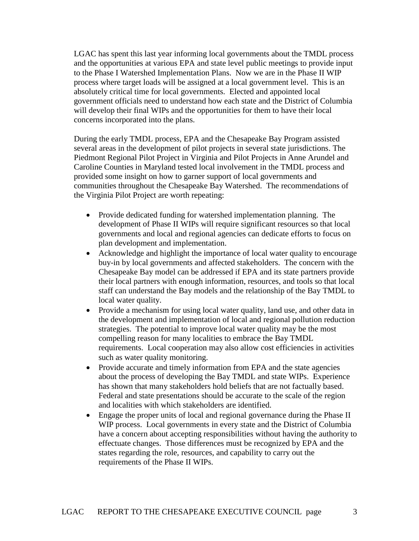LGAC has spent this last year informing local governments about the TMDL process and the opportunities at various EPA and state level public meetings to provide input to the Phase I Watershed Implementation Plans. Now we are in the Phase II WIP process where target loads will be assigned at a local government level. This is an absolutely critical time for local governments. Elected and appointed local government officials need to understand how each state and the District of Columbia will develop their final WIPs and the opportunities for them to have their local concerns incorporated into the plans.

During the early TMDL process, EPA and the Chesapeake Bay Program assisted several areas in the development of pilot projects in several state jurisdictions. The Piedmont Regional Pilot Project in Virginia and Pilot Projects in Anne Arundel and Caroline Counties in Maryland tested local involvement in the TMDL process and provided some insight on how to garner support of local governments and communities throughout the Chesapeake Bay Watershed. The recommendations of the Virginia Pilot Project are worth repeating:

- Provide dedicated funding for watershed implementation planning. The development of Phase II WIPs will require significant resources so that local governments and local and regional agencies can dedicate efforts to focus on plan development and implementation.
- Acknowledge and highlight the importance of local water quality to encourage buy-in by local governments and affected stakeholders. The concern with the Chesapeake Bay model can be addressed if EPA and its state partners provide their local partners with enough information, resources, and tools so that local staff can understand the Bay models and the relationship of the Bay TMDL to local water quality.
- Provide a mechanism for using local water quality, land use, and other data in the development and implementation of local and regional pollution reduction strategies. The potential to improve local water quality may be the most compelling reason for many localities to embrace the Bay TMDL requirements. Local cooperation may also allow cost efficiencies in activities such as water quality monitoring.
- Provide accurate and timely information from EPA and the state agencies about the process of developing the Bay TMDL and state WIPs. Experience has shown that many stakeholders hold beliefs that are not factually based. Federal and state presentations should be accurate to the scale of the region and localities with which stakeholders are identified.
- Engage the proper units of local and regional governance during the Phase II WIP process. Local governments in every state and the District of Columbia have a concern about accepting responsibilities without having the authority to effectuate changes. Those differences must be recognized by EPA and the states regarding the role, resources, and capability to carry out the requirements of the Phase II WIPs.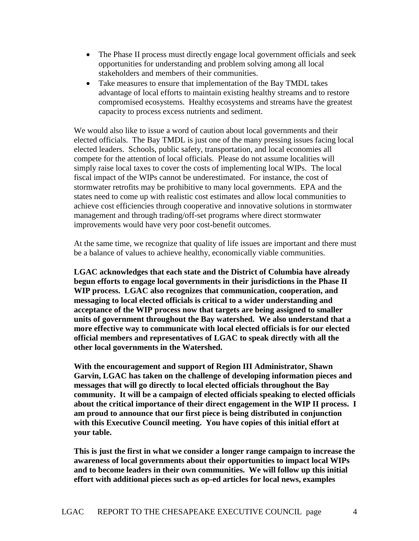- The Phase II process must directly engage local government officials and seek opportunities for understanding and problem solving among all local stakeholders and members of their communities.
- Take measures to ensure that implementation of the Bay TMDL takes advantage of local efforts to maintain existing healthy streams and to restore compromised ecosystems. Healthy ecosystems and streams have the greatest capacity to process excess nutrients and sediment.

We would also like to issue a word of caution about local governments and their elected officials. The Bay TMDL is just one of the many pressing issues facing local elected leaders. Schools, public safety, transportation, and local economies all compete for the attention of local officials. Please do not assume localities will simply raise local taxes to cover the costs of implementing local WIPs. The local fiscal impact of the WIPs cannot be underestimated. For instance, the cost of stormwater retrofits may be prohibitive to many local governments. EPA and the states need to come up with realistic cost estimates and allow local communities to achieve cost efficiencies through cooperative and innovative solutions in stormwater management and through trading/off-set programs where direct stormwater improvements would have very poor cost-benefit outcomes.

At the same time, we recognize that quality of life issues are important and there must be a balance of values to achieve healthy, economically viable communities.

**LGAC acknowledges that each state and the District of Columbia have already begun efforts to engage local governments in their jurisdictions in the Phase II WIP process. LGAC also recognizes that communication, cooperation, and messaging to local elected officials is critical to a wider understanding and acceptance of the WIP process now that targets are being assigned to smaller units of government throughout the Bay watershed. We also understand that a more effective way to communicate with local elected officials is for our elected official members and representatives of LGAC to speak directly with all the other local governments in the Watershed.**

**With the encouragement and support of Region III Administrator, Shawn Garvin, LGAC has taken on the challenge of developing information pieces and messages that will go directly to local elected officials throughout the Bay community. It will be a campaign of elected officials speaking to elected officials about the critical importance of their direct engagement in the WIP II process. I am proud to announce that our first piece is being distributed in conjunction with this Executive Council meeting. You have copies of this initial effort at your table.**

**This is just the first in what we consider a longer range campaign to increase the awareness of local governments about their opportunities to impact local WIPs and to become leaders in their own communities. We will follow up this initial effort with additional pieces such as op-ed articles for local news, examples**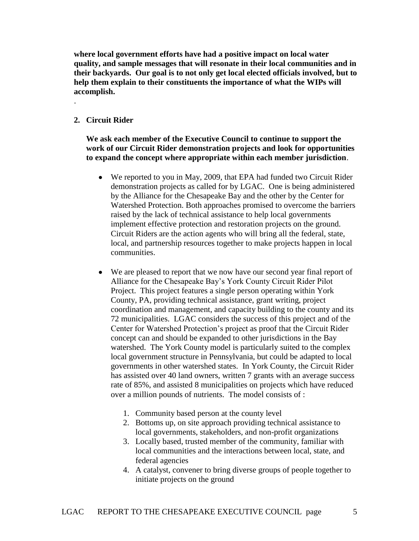**where local government efforts have had a positive impact on local water quality, and sample messages that will resonate in their local communities and in their backyards. Our goal is to not only get local elected officials involved, but to help them explain to their constituents the importance of what the WIPs will accomplish.**

## **2. Circuit Rider**

.

**We ask each member of the Executive Council to continue to support the work of our Circuit Rider demonstration projects and look for opportunities to expand the concept where appropriate within each member jurisdiction**.

- We reported to you in May, 2009, that EPA had funded two Circuit Rider demonstration projects as called for by LGAC. One is being administered by the Alliance for the Chesapeake Bay and the other by the Center for Watershed Protection. Both approaches promised to overcome the barriers raised by the lack of technical assistance to help local governments implement effective protection and restoration projects on the ground. Circuit Riders are the action agents who will bring all the federal, state, local, and partnership resources together to make projects happen in local communities.
- We are pleased to report that we now have our second year final report of Alliance for the Chesapeake Bay's York County Circuit Rider Pilot Project. This project features a single person operating within York County, PA, providing technical assistance, grant writing, project coordination and management, and capacity building to the county and its 72 municipalities. LGAC considers the success of this project and of the Center for Watershed Protection's project as proof that the Circuit Rider concept can and should be expanded to other jurisdictions in the Bay watershed. The York County model is particularly suited to the complex local government structure in Pennsylvania, but could be adapted to local governments in other watershed states. In York County, the Circuit Rider has assisted over 40 land owners, written 7 grants with an average success rate of 85%, and assisted 8 municipalities on projects which have reduced over a million pounds of nutrients. The model consists of :
	- 1. Community based person at the county level
	- 2. Bottoms up, on site approach providing technical assistance to local governments, stakeholders, and non-profit organizations
	- 3. Locally based, trusted member of the community, familiar with local communities and the interactions between local, state, and federal agencies
	- 4. A catalyst, convener to bring diverse groups of people together to initiate projects on the ground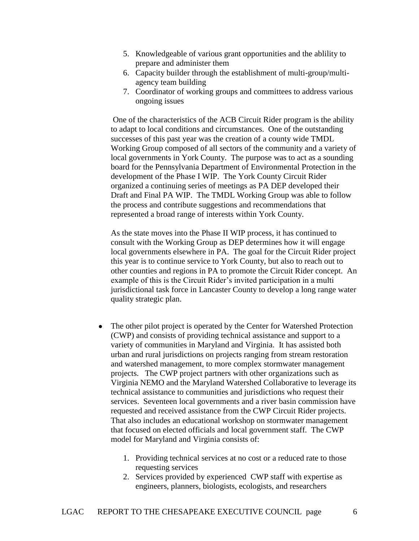- 5. Knowledgeable of various grant opportunities and the ablility to prepare and administer them
- 6. Capacity builder through the establishment of multi-group/multiagency team building
- 7. Coordinator of working groups and committees to address various ongoing issues

One of the characteristics of the ACB Circuit Rider program is the ability to adapt to local conditions and circumstances. One of the outstanding successes of this past year was the creation of a county wide TMDL Working Group composed of all sectors of the community and a variety of local governments in York County. The purpose was to act as a sounding board for the Pennsylvania Department of Environmental Protection in the development of the Phase I WIP. The York County Circuit Rider organized a continuing series of meetings as PA DEP developed their Draft and Final PA WIP. The TMDL Working Group was able to follow the process and contribute suggestions and recommendations that represented a broad range of interests within York County.

As the state moves into the Phase II WIP process, it has continued to consult with the Working Group as DEP determines how it will engage local governments elsewhere in PA. The goal for the Circuit Rider project this year is to continue service to York County, but also to reach out to other counties and regions in PA to promote the Circuit Rider concept. An example of this is the Circuit Rider's invited participation in a multi jurisdictional task force in Lancaster County to develop a long range water quality strategic plan.

- The other pilot project is operated by the Center for Watershed Protection (CWP) and consists of providing technical assistance and support to a variety of communities in Maryland and Virginia. It has assisted both urban and rural jurisdictions on projects ranging from stream restoration and watershed management, to more complex stormwater management projects. The CWP project partners with other organizations such as Virginia NEMO and the Maryland Watershed Collaborative to leverage its technical assistance to communities and jurisdictions who request their services. Seventeen local governments and a river basin commission have requested and received assistance from the CWP Circuit Rider projects. That also includes an educational workshop on stormwater management that focused on elected officials and local government staff. The CWP model for Maryland and Virginia consists of:
	- 1. Providing technical services at no cost or a reduced rate to those requesting services
	- 2. Services provided by experienced CWP staff with expertise as engineers, planners, biologists, ecologists, and researchers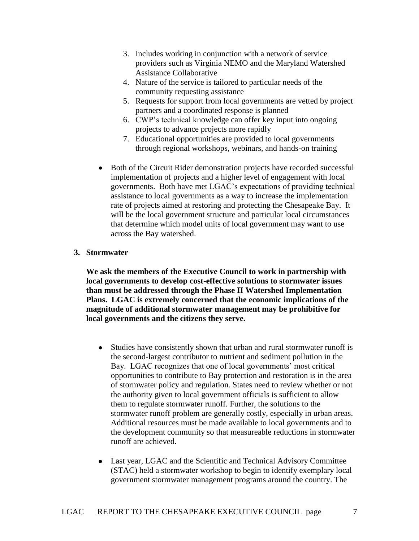- 3. Includes working in conjunction with a network of service providers such as Virginia NEMO and the Maryland Watershed Assistance Collaborative
- 4. Nature of the service is tailored to particular needs of the community requesting assistance
- 5. Requests for support from local governments are vetted by project partners and a coordinated response is planned
- 6. CWP's technical knowledge can offer key input into ongoing projects to advance projects more rapidly
- 7. Educational opportunities are provided to local governments through regional workshops, webinars, and hands-on training
- Both of the Circuit Rider demonstration projects have recorded successful implementation of projects and a higher level of engagement with local governments. Both have met LGAC's expectations of providing technical assistance to local governments as a way to increase the implementation rate of projects aimed at restoring and protecting the Chesapeake Bay. It will be the local government structure and particular local circumstances that determine which model units of local government may want to use across the Bay watershed.

## **3. Stormwater**

**We ask the members of the Executive Council to work in partnership with local governments to develop cost-effective solutions to stormwater issues than must be addressed through the Phase II Watershed Implementation Plans. LGAC is extremely concerned that the economic implications of the magnitude of additional stormwater management may be prohibitive for local governments and the citizens they serve.**

- Studies have consistently shown that urban and rural stormwater runoff is the second-largest contributor to nutrient and sediment pollution in the Bay. LGAC recognizes that one of local governments' most critical opportunities to contribute to Bay protection and restoration is in the area of stormwater policy and regulation. States need to review whether or not the authority given to local government officials is sufficient to allow them to regulate stormwater runoff. Further, the solutions to the stormwater runoff problem are generally costly, especially in urban areas. Additional resources must be made available to local governments and to the development community so that measureable reductions in stormwater runoff are achieved.
- Last year, LGAC and the Scientific and Technical Advisory Committee (STAC) held a stormwater workshop to begin to identify exemplary local government stormwater management programs around the country. The